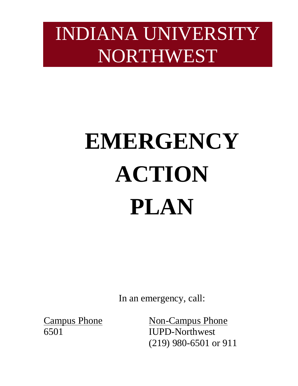# INDIANA UNIVERSITY NORTHWEST

# **EMERGENCY ACTION PLAN**

In an emergency, call:

**Campus Phone** 

 (219) 980-6501 or 911 Non-Campus Phone 6501 IUPD-Northwest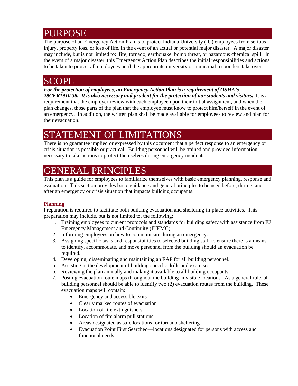### PURPOSE

 The purpose of an Emergency Action Plan is to protect Indiana University (IU) employees from serious injury, property loss, or loss of life, in the event of an actual or potential major disaster. A major disaster may include, but is not limited to: fire, tornado, earthquake, bomb threat, or hazardous chemical spill. In to be taken to protect all employees until the appropriate university or municipal responders take over. the event of a major disaster, this Emergency Action Plan describes the initial responsibilities and actions

### SCOPE

 *29CFR1910.38. It is also necessary and prudent for the protection of our students and visitors.* It is a plan changes, those parts of the plan that the employee must know to protect him/herself in the event of an emergency. In addition, the written plan shall be made available for employees to review and plan for *For the protection of employees, an Emergency Action Plan is a requirement of OSHA's*  requirement that the employer review with each employee upon their initial assignment, and when the their evacuation.

### STATEMENT OF LIMITATIONS

 crisis situation is possible or practical. Building personnel will be trained and provided information There is no guarantee implied or expressed by this document that a perfect response to an emergency or necessary to take actions to protect themselves during emergency incidents.

### GENERAL PRINCIPLES

This plan is a guide for employees to familiarize themselves with basic emergency planning, response and evaluation. This section provides basic guidance and general principles to be used before, during, and after an emergency or crisis situation that impacts building occupants.

#### **Planning**

Preparation is required to facilitate both building evacuation and sheltering-in-place activities. This preparation may include, but is not limited to, the following:

- 1. Training employees to current protocols and standards for building safety with assistance from IU Emergency Management and Continuity (IUEMC).
- 2. Informing employees on how to communicate during an emergency.
- 3. Assigning specific tasks and responsibilities to selected building staff to ensure there is a means to identify, accommodate, and move personnel from the building should an evacuation be required.
- 4. Developing, disseminating and maintaining an EAP for all building personnel.
- 5. Assisting in the development of building-specific drills and exercises.
- 6. Reviewing the plan annually and making it available to all building occupants.
- 7. Posting evacuation route maps throughout the building in visible locations. As a general rule, all building personnel should be able to identify two (2) evacuation routes from the building. These evacuation maps will contain:
	- Emergency and accessible exits
	- Clearly marked routes of evacuation
	- Location of fire extinguishers
	- Location of fire alarm pull stations
	- Areas designated as safe locations for tornado sheltering
	- • Evacuation Point First Searched—locations designated for persons with access and functional needs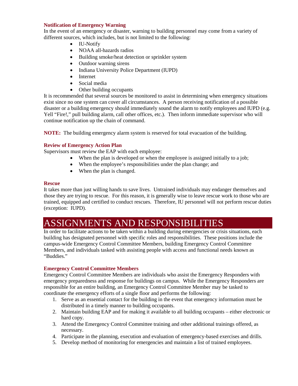#### **Notification of Emergency Warning**

In the event of an emergency or disaster, warning to building personnel may come from a variety of different sources, which includes, but is not limited to the following:

- IU-Notify
- NOAA all-hazards radios
- Building smoke/heat detection or sprinkler system
- Outdoor warning sirens
- Indiana University Police Department (IUPD)
- Internet
- Social media
- $\bullet$  Other building occupants

 Yell "Fire!," pull building alarm, call other offices, etc.). Then inform immediate supervisor who will continue notification up the chain of command. It is recommended that several sources be monitored to assist in determining when emergency situations exist since no one system can cover all circumstances. A person receiving notification of a possible disaster or a building emergency should immediately sound the alarm to notify employees and IUPD (e.g.

 **NOTE:** The building emergency alarm system is reserved for total evacuation of the building.

#### **Review of Emergency Action Plan**

Supervisors must review the EAP with each employee:

- When the plan is developed or when the employee is assigned initially to a job;
- When the employee's responsibilities under the plan change; and
- When the plan is changed.

#### **Rescue**

 those they are trying to rescue. For this reason, it is generally wise to leave rescue work to those who are trained, equipped and certified to conduct rescues. Therefore, IU personnel will not perform rescue duties It takes more than just willing hands to save lives. Untrained individuals may endanger themselves and (exception: IUPD).

### ASSIGNMENTS AND RESPONSIBILITIES

 campus-wide Emergency Control Committee Members, building Emergency Control Committee In order to facilitate actions to be taken within a building during emergencies or crisis situations, each building has designated personnel with specific roles and responsibilities. These positions include the Members, and individuals tasked with assisting people with access and functional needs known as "Buddies."

#### **Emergency Control Committee Members**

 coordinate the emergency efforts of a single floor and performs the following: Emergency Control Committee Members are individuals who assist the Emergency Responders with emergency preparedness and response for buildings on campus. While the Emergency Responders are responsible for an entire building, an Emergency Control Committee Member may be tasked to

- 1. Serve as an essential contact for the building in the event that emergency information must be distributed in a timely manner to building occupants.
- 2. Maintain building EAP and for making it available to all building occupants either electronic or hard copy.
- 3. Attend the Emergency Control Committee training and other additional trainings offered, as necessary.
- 4. Participate in the planning, execution and evaluation of emergency-based exercises and drills.
- 5. Develop method of monitoring for emergencies and maintain a list of trained employees.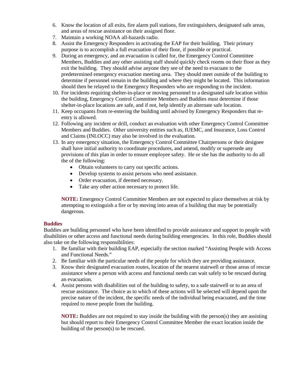- 6. Know the location of all exits, fire alarm pull stations, fire extinguishers, designated safe areas, and areas of rescue assistance on their assigned floor.
- 7. Maintain a working NOAA all-hazards radio.
- 8. Assist the Emergency Responders in activating the EAP for their building. Their primary purpose is to accomplish a full evacuation of their floor, if possible or practical.
- Members, Buddies and any other assisting staff should quickly check rooms on their floor as they exit the building. They should advise anyone they see of the need to evacuate to the 9. During an emergency, and an evacuation is called for, the Emergency Control Committee predetermined emergency evacuation meeting area. They should meet outside of the building to determine if personnel remain in the building and where they might be located. This information should then be relayed to the Emergency Responders who are responding to the incident.
- 10. For incidents requiring shelter-in-place or moving personnel to a designated safe location within the building, Emergency Control Committee Members and Buddies must determine if those shelter-in-place locations are safe, and if not, help identify an alternate safe location.
- 11. Keep occupants from re-entering the building until advised by Emergency Responders that reentry is allowed.
- and Claims (INLOCC) may also be involved in the evaluation. 12. Following any incident or drill, conduct an evaluation with other Emergency Control Committee Members and Buddies. Other university entities such as, IUEMC, and Insurance, Loss Control
- 13. In any emergency situation, the Emergency Control Committee Chairpersons or their designee shall have initial authority to coordinate procedures, and amend, modify or supersede any provisions of this plan in order to ensure employee safety. He or she has the authority to do all the of the following:
	- Obtain volunteers to carry out specific actions.
	- Develop systems to assist persons who need assistance.
	- Order evacuation, if deemed necessary.
	- Take any other action necessary to protect life.

 attempting to extinguish a fire or by moving into areas of a building that may be potentially **NOTE:** Emergency Control Committee Members are not expected to place themselves at risk by dangerous.

#### **Buddies**

 Buddies are building personnel who have been identified to provide assistance and support to people with disabilities or other access and functional needs during building emergencies. In this role, Buddies should also take on the following responsibilities:

- 1. Be familiar with their building EAP, especially the section marked "Assisting People with Access and Functional Needs."
- 2. Be familiar with the particular needs of the people for which they are providing assistance.
- 3. Know their designated evacuation routes, location of the nearest stairwell or those areas of rescue assistance where a person with access and functional needs can wait safely to be rescued during an evacuation.
- rescue assistance. The choice as to which of these actions will be selected will depend upon the precise nature of the incident, the specific needs of the individual being evacuated, and the time 4. Assist persons with disabilities out of the building to safety, to a safe stairwell or to an area of required to move people from the building.

 **NOTE:** Buddies are not required to stay inside the building with the person(s) they are assisting but should report to their Emergency Control Committee Member the exact location inside the building of the person(s) to be rescued.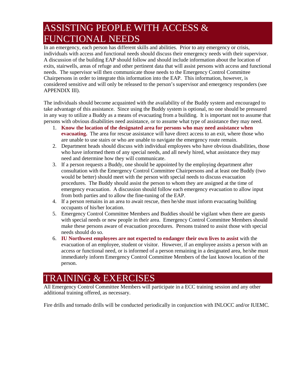### ASSISTING PEOPLE WITH ACCESS  $\&$ **FUNCTIONAL NEEDS**

individuals with access and functional needs should discuss their emergency needs with their supervisor. individuals with access and functional needs should discuss their emergency needs with their supervisor. A discussion of the building EAP should follow and should include information about the location of In an emergency, each person has different skills and abilities. Prior to any emergency or crisis, exits, stairwells, areas of refuge and other pertinent data that will assist persons with access and functional needs. The supervisor will then communicate those needs to the Emergency Control Committee Chairpersons in order to integrate this information into the EAP. This information, however, is considered sensitive and will only be released to the person's supervisor and emergency responders (see APPENDIX III).

 persons with obvious disabilities need assistance, or to assume what type of assistance they may need. The individuals should become acquainted with the availability of the Buddy system and encouraged to take advantage of this assistance. Since using the Buddy system is optional, no one should be pressured in any way to utilize a Buddy as a means of evacuating from a building. It is important not to assume that

- 1. **Know the location of the designated area for persons who may need assistance when evacuating.** The area for rescue assistance will have direct access to an exit, where those who are unable to use stairs or who are unable to navigate the emergency route remain.
- need and determine how they will communicate. 2. Department heads should discuss with individual employees who have obvious disabilities, those who have informed them of any special needs, and all newly hired, what assistance they may
- consultation with the Emergency Control Committee Chairpersons and at least one Buddy (two procedures. The Buddy should assist the person to whom they are assigned at the time of from both parties and to allow the fine-tuning of the EAP. 3. If a person requests a Buddy, one should be appointed by the employing department after would be better) should meet with the person with special needs to discuss evacuation emergency evacuation. A discussion should follow each emergency evacuation to allow input
- 4. If a person remains in an area to await rescue, then he/she must inform evacuating building occupants of his/her location.
- make these persons aware of evacuation procedures. Persons trained to assist those with special 5. Emergency Control Committee Members and Buddies should be vigilant when there are guests with special needs or new people in their area. Emergency Control Committee Members should needs should do so.
- access or functional need, or is informed of a person remaining in a designated area, he/she must immediately inform Emergency Control Committee Members of the last known location of the 6. **IU Northwest employees are not expected to endanger their own lives to assist** with the evacuation of an employee, student or visitor. However, if an employee assists a person with an person.

### TRAINING & EXERCISES

 All Emergency Control Committee Members will participate in a ECC training session and any other additional training offered, as necessary.

Fire drills and tornado drills will be conducted periodically in conjunction with INLOCC and/or IUEMC.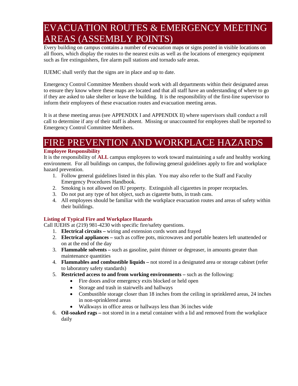### EVACUATION ROUTES & EMERGENCY MEETING AREAS (ASSEMBLY POINTS)

 all floors, which display the routes to the nearest exits as well as the locations of emergency equipment such as fire extinguishers, fire alarm pull stations and tornado safe areas. Every building on campus contains a number of evacuation maps or signs posted in visible locations on

IUEMC shall verify that the signs are in place and up to date.

 Emergency Control Committee Members should work with all departments within their designated areas inform their employees of these evacuation routes and evacuation meeting areas. to ensure they know where these maps are located and that all staff have an understanding of where to go if they are asked to take shelter or leave the building. It is the responsibility of the first-line supervisor to

It is at these meeting areas (see APPENDIX I and APPENDIX II) where supervisors shall conduct a roll call to determine if any of their staff is absent. Missing or unaccounted for employees shall be reported to Emergency Control Committee Members.

### FIRE PREVENTION AND WORKPLACE HAZARDS

#### **Employee Responsibility**

 environment. For all buildings on campus, the following general guidelines apply to fire and workplace It is the responsibility of **ALL** campus employees to work toward maintaining a safe and healthy working hazard prevention.

- 1. Follow general guidelines listed in this plan. You may also refer to the Staff and Faculty Emergency Procedures Handbook.
- 2. Smoking is not allowed on IU property. Extinguish all cigarettes in proper receptacles.
- 3. Do not put any type of hot object, such as cigarette butts, in trash cans.
- 4. All employees should be familiar with the workplace evacuation routes and areas of safety within their buildings.

#### **Listing of Typical Fire and Workplace Hazards**

Call IUEHS at (219) 981-4230 with specific fire/safety questions.

- Call IUEHS at (219) 981-4230 with specific fire/safety questions. 1. **Electrical circuits** wiring and extension cords worn and frayed
	- 2. **Electrical appliances** such as coffee pots, microwaves and portable heaters left unattended or on at the end of the day
	- 3. **Flammable solvents** such as gasoline, paint thinner or degreaser, in amounts greater than maintenance quantities
	- 4. **Flammables and combustible liquids** not stored in a designated area or storage cabinet (refer to laboratory safety standards)
	- 5. **Restricted access to and from working environments** such as the following:
		- Fire doors and/or emergency exits blocked or held open
		- Storage and trash in stairwells and hallways
		- Combustible storage closer than 18 inches from the ceiling in sprinklered areas, 24 inches in non-sprinklered areas
		- Walkways in office areas or hallways less than 36 inches wide
	- 6. **Oil-soaked rags** not stored in in a metal container with a lid and removed from the workplace daily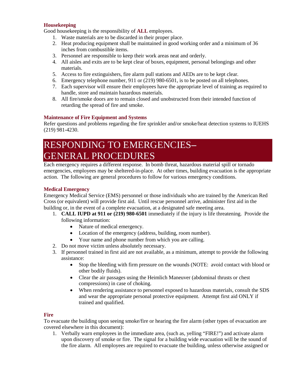#### **Housekeeping**

Good housekeeping is the responsibility of **ALL** employees.

- 1. Waste materials are to be discarded in their proper place.
- 2. Heat producing equipment shall be maintained in good working order and a minimum of 36 inches from combustible items.
- 3. Personnel are responsible to keep their work areas neat and orderly.
- 4. All aisles and exits are to be kept clear of boxes, equipment, personal belongings and other materials.
- 5. Access to fire extinguishers, fire alarm pull stations and AEDs are to be kept clear.
- 6. Emergency telephone number, 911 or (219) 980-6501, is to be posted on all telephones.
- 7. Each supervisor will ensure their employees have the appropriate level of training as required to handle, store and maintain hazardous materials.
- 8. All fire/smoke doors are to remain closed and unobstructed from their intended function of retarding the spread of fire and smoke.

#### **Maintenance of Fire Equipment and Systems**

 Refer questions and problems regarding the fire sprinkler and/or smoke/heat detection systems to IUEHS (219) 981-4230.

### RESPONDING TO EMERGENCIES**– GENERAL PROCEDURES**

Each emergency requires a different response. In bomb threat, hazardous material spill or tornado emergencies, employees may be sheltered-in-place. At other times, building evacuation is the appropriate action. The following are general procedures to follow for various emergency conditions.

#### **Medical Emergency**

 Cross (or equivalent) will provide first aid. Until rescue personnel arrive, administer first aid in the building or, in the event of a complete evacuation, at a designated safe meeting area. Emergency Medical Service (EMS) personnel or those individuals who are trained by the American Red

- 1. **CALL IUPD at 911 or (219) 980-6501** immediately if the injury is life threatening. Provide the following information:
	- Nature of medical emergency.
	- Location of the emergency (address, building, room number).
	- Your name and phone number from which you are calling.
- 2. Do not move victim unless absolutely necessary.
- 3. If personnel trained in first aid are not available, as a minimum, attempt to provide the following assistance:
	- • Stop the bleeding with firm pressure on the wounds (NOTE: avoid contact with blood or other bodily fluids).
	- • Clear the air passages using the Heimlich Maneuver (abdominal thrusts or chest compressions) in case of choking.
	- When rendering assistance to personnel exposed to hazardous materials, consult the SDS and wear the appropriate personal protective equipment. Attempt first aid ONLY if trained and qualified.

#### **Fire**

To evacuate the building upon seeing smoke/fire or hearing the fire alarm (other types of evacuation are covered elsewhere in this document):

1. Verbally warn employees in the immediate area, (such as, yelling "FIRE!") and activate alarm upon discovery of smoke or fire. The signal for a building wide evacuation will be the sound of the fire alarm. All employees are required to evacuate the building, unless otherwise assigned or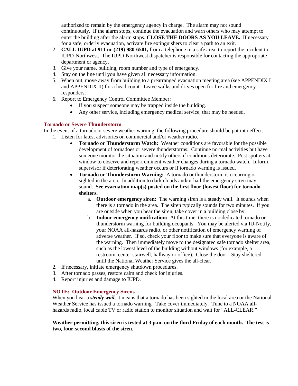authorized to remain by the emergency agency in charge. The alarm may not sound enter the building after the alarm stops. **CLOSE THE DOORS AS YOU LEAVE.** If necessary continuously. If the alarm stops, continue the evacuation and warn others who may attempt to for a safe, orderly evacuation, activate fire extinguishers to clear a path to an exit.

- 2. **CALL IUPD at 911 or (219) 980-6501,** from a telephone in a safe area, to report the incident to IUPD-Northwest. The IUPD-Northwest dispatcher is responsible for contacting the appropriate department or agency.
- 3. Give your name, building, room number and type of emergency.
- 4. Stay on the line until you have given all necessary information.
- 5. When out, move away from building to a prearranged evacuation meeting area (see APPENDIX I and APPENDIX II) for a head count. Leave walks and drives open for fire and emergency responders.
- 6. Report to Emergency Control Committee Member:
	- If you suspect someone may be trapped inside the building.
	- Any other service, including emergency medical service, that may be needed.

#### **Tornado or Severe Thunderstorm**

 In the event of a tornado or severe weather warning, the following procedure should be put into effect. 1. Listen for latest advisories on commercial and/or weather radio.

- • **Tornado or Thunderstorm Watch:** Weather conditions are favorable for the possible someone monitor the situation and notify others if conditions deteriorate. Post spotters at window to observe and report eminent weather changes during a tornado watch. Inform development of tornadoes or severe thunderstorms. Continue normal activities but have supervisor if deteriorating weather occurs or if tornado warning is issued.
- **Tornado or Thunderstorm Warning:** A tornado or thunderstorm is occurring or  sound. **See evacuation map(s) posted on the first floor (lowest floor) for tornado shelters.** sighted in the area. In addition to dark clouds and/or hail the emergency siren may
	- a. **Outdoor emergency siren:** The warning siren is a steady wail. It sounds when there is a tornado in the area. The siren typically sounds for two minutes. If you are outside when you hear the siren, take cover in a building close by.
	- b. **Indoor emergency notification:** At this time, there is no dedicated tornado or your NOAA all-hazards radio, or other notification of emergency warning of restroom, center stairwell, hallway or office). Close the door. Stay sheltered until the National Weather Service gives the all-clear. thunderstorm warning for building occupants. You may be alerted via IU-Notify, adverse weather. If so, check your floor to make sure that everyone is aware of the warning. Then immediately move to the designated safe tornado shelter area, such as the lowest level of the building without windows (for example, a
- 2. If necessary, initiate emergency shutdown procedures.
- 3. After tornado passes, restore calm and check for injuries.
- 4. Report injuries and damage to IUPD.

#### **NOTE: Outdoor Emergency Sirens**

 When you hear a *steady wail,* it means that a tornado has been sighted in the local area or the National hazards radio, local cable TV or radio station to monitor situation and wait for "ALL-CLEAR." Weather Service has issued a tornado warning. Take cover immediately. Tune to a NOAA all-

#### **Weather permitting, this siren is tested at 3 p.m. on the third Friday of each month. The test is two, four-second blasts of the siren.**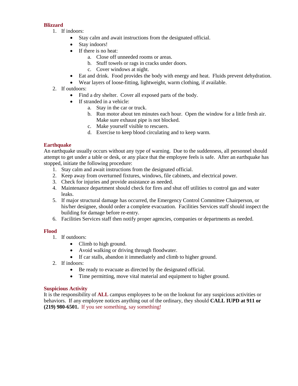#### **Blizzard**

- 1. If indoors:
	- Stay calm and await instructions from the designated official.
	- Stay indoors!
	- If there is no heat:
		- a. Close off unneeded rooms or areas.
		- b. Stuff towels or rags in cracks under doors.
		- c. Cover windows at night.
	- Eat and drink. Food provides the body with energy and heat. Fluids prevent dehydration.
	- Wear layers of loose-fitting, lightweight, warm clothing, if available.
- 2. If outdoors:
	- Find a dry shelter. Cover all exposed parts of the body.
	- If stranded in a vehicle:
		- a. Stay in the car or truck.
		- b. Run motor about ten minutes each hour. Open the window for a little fresh air. Make sure exhaust pipe is not blocked.
		- c. Make yourself visible to rescuers.
		- d. Exercise to keep blood circulating and to keep warm.

#### **Earthquake**

 stopped, initiate the following procedure: An earthquake usually occurs without any type of warning. Due to the suddenness, all personnel should attempt to get under a table or desk, or any place that the employee feels is safe. After an earthquake has

- 1. Stay calm and await instructions from the designated official.
- 2. Keep away from overturned fixtures, windows, file cabinets, and electrical power.
- 3. Check for injuries and provide assistance as needed.
- 4. Maintenance department should check for fires and shut off utilities to control gas and water leaks.
- building for damage before re-entry. 5. If major structural damage has occurred, the Emergency Control Committee Chairperson, or his/her designee, should order a complete evacuation. Facilities Services staff should inspect the
- 6. Facilities Services staff then notify proper agencies, companies or departments as needed.

#### **Flood**

- 1. If outdoors:
	- Climb to high ground.
	- Avoid walking or driving through floodwater.
	- If car stalls, abandon it immediately and climb to higher ground.
- 2. If indoors:
	- Be ready to evacuate as directed by the designated official.
	- Time permitting, move vital material and equipment to higher ground.

#### **Suspicious Activity**

 behaviors. If any employee notices anything out of the ordinary, they should **CALL IUPD at 911 or (219) 980-6501.** If you see something, say something! It is the responsibility of **ALL** campus employees to be on the lookout for any suspicious activities or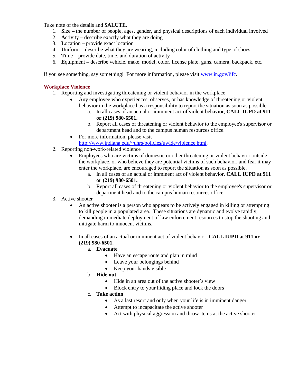Take note of the details and **SALUTE.** 

- 1. **S**ize the number of people, ages, gender, and physical descriptions of each individual involved
- 2. **A**ctivity describe exactly what they are doing
- 3. **L**ocation provide exact location
- 4. **U**niform describe what they are wearing, including color of clothing and type of shoes
- 5. **T**ime provide date, time, and duration of activity
- 6. **E**quipment describe vehicle, make, model, color, license plate, guns, camera, backpack, etc.

If you see something, say something! For more information, please visit [www.in.gov/iifc.](http://www.in.gov/iifc)

#### **Workplace Violence**

- 1. Reporting and investigating threatening or violent behavior in the workplace
	- Any employee who experiences, observes, or has knowledge of threatening or violent behavior in the workplace has a responsibility to report the situation as soon as possible.
		- a. In all cases of an actual or imminent act of violent behavior, **CALL IUPD at 911 or (219) 980-6501.**
		- department head and to the campus human resources office. b. Report all cases of threatening or violent behavior to the employee's supervisor or
- [http://www.indiana.edu/~uhrs/policies/uwide/violence.html.](http://www.indiana.edu/%7Euhrs/policies/uwide/violence.html)<br>2. Reporting non-work-related violence • For more information, please visit
- - Employees who are victims of domestic or other threatening or violent behavior outside the workplace, or who believe they are potential victims of such behavior, and fear it may enter the workplace, are encouraged to report the situation as soon as possible.
		- a. In all cases of an actual or imminent act of violent behavior, **CALL IUPD at 911 or (219) 980-6501.**
		- b. Report all cases of threatening or violent behavior to the employee's supervisor or department head and to the campus human resources office.
- 3. Active shooter
	- to kill people in a populated area. These situations are dynamic and evolve rapidly, • An active shooter is a person who appears to be actively engaged in killing or attempting demanding immediate deployment of law enforcement resources to stop the shooting and mitigate harm to innocent victims.
	- • In all cases of an actual or imminent act of violent behavior, **CALL IUPD at 911 or (219) 980-6501.** 
		- a. **Evacuate** 
			- Have an escape route and plan in mind
			- Leave your belongings behind
		- Keep your hands visible b. **Hide out**
		- - Hide in an area out of the active shooter's view
			- Block entry to your hiding place and lock the doors
		- c. **Take action** 
			- As a last resort and only when your life is in imminent danger
			- Attempt to incapacitate the active shooter
			- Act with physical aggression and throw items at the active shooter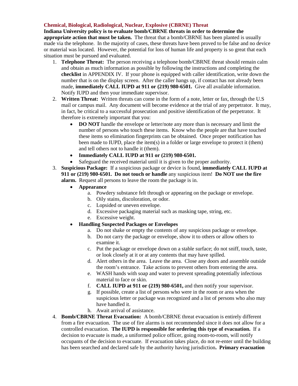#### **Chemical, Biological, Radiological, Nuclear, Explosive (CBRNE) Threat**

 **appropriate action that must be taken.** The threat that a bomb/CBRNE has been planted is usually made via the telephone. In the majority of cases, these threats have been proved to be false and no device or material was located. However, the potential for loss of human life and property is so great that each **Indiana University policy is to evaluate bomb/CBRNE threats in order to determine the**  situation must be pursued and evaluated.

- 1. **Telephone Threat:** The person receiving a telephone bomb/CBRNE threat should remain calm made, **immediately CALL IUPD at 911 or (219) 980-6501.** Give all available information. Notify IUPD and then your immediate supervisor. and obtain as much information as possible by following the instructions and completing the **checklist** in APPENDIX IV. If your phone is equipped with caller identification, write down the number that is on the display screen. After the caller hangs up, if contact has not already been
- 2. **Written Threat:** Written threats can come in the form of a note, letter or fax, through the U.S mail or campus mail. Any document will become evidence at the trial of any perpetrator. It may, in fact, be critical to a successful prosecution and positive identification of the perpetrator. It therefore is extremely important that you:
	- been made to IUPD, place the item(s) in a folder or large envelope to protect it (them) and tell others not to handle it (them). • **DO NOT** handle the envelope or letter/note any more than is necessary and limit the number of persons who touch these items. Know who the people are that have touched these items so elimination fingerprints can be obtained. Once proper notification has
	- **Immediately CALL IUPD at 911 or (219) 980-6501.**
	- Safeguard the received material until it is given to the proper authority.
- 3. **Suspicious Package:** If a suspicious package or device is found, **immediately CALL IUPD at 911 or (219) 980-6501. Do not touch or handle** any suspicious item! **Do NOT use the fire alarm.** Request all persons to leave the room the package is in.
	- **Appearance** 
		- a. Powdery substance felt through or appearing on the package or envelope.
		- b. Oily stains, discoloration, or odor.
		- c. Lopsided or uneven envelope.
		- d. Excessive packaging material such as masking tape, string, etc.
		- e. Excessive weight.
	- **Handling Suspected Packages or Envelopes** 
		- a. Do not shake or empty the contents of any suspicious package or envelope.
		- b. Do not carry the package or envelope, show it to others or allow others to examine it.
		- c. Put the package or envelope down on a stable surface; do not sniff, touch, taste, or look closely at it or at any contents that may have spilled.
		- the room's entrance. Take actions to prevent others from entering the area. d. Alert others in the area. Leave the area. Close any doors and assemble outside
		- e. WASH hands with soap and water to prevent spreading potentially infectious material to face or skin.
		- f. **CALL IUPD at 911 or (219) 980-6501,** and then notify your supervisor.
		- g. If possible, create a list of persons who were in the room or area when the suspicious letter or package was recognized and a list of persons who also may have handled it.
		- h. Await arrival of assistance.
- 4. **Bomb/CBRNE Threat Evacuation:** A bomb/CBRNE threat evacuation is entirely different from a fire evacuation. The use of fire alarms is not recommended since it does not allow for a controlled evacuation. **The IUPD is responsible for ordering this type of evacuation.** If a decision to evacuate is made, a uniformed police officer, going room-to-room, will notify occupants of the decision to evacuate. If evacuation takes place, do not re-enter until the building has been searched and declared safe by the authority having jurisdiction**. Primary evacuation**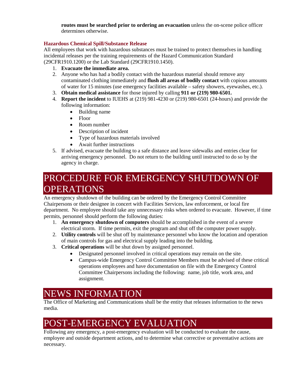**routes must be searched prior to ordering an evacuation** unless the on-scene police officer determines otherwise.

#### **Hazardous Chemical Spill/Substance Release**

All employees that work with hazardous substances must be trained to protect themselves in handling incidental releases per the training requirements of the Hazard Communication Standard (29CFR1910.1200) or the Lab Standard (29CFR1910.1450).

- 1. **Evacuate the immediate area.**
- 2. Anyone who has had a bodily contact with the hazardous material should remove any of water for 15 minutes (use emergency facilities available – safety showers, eyewashes, etc.). contaminated clothing immediately and **flush all areas of bodily contact** with copious amounts
- 3. **Obtain medical assistance** for those injured by calling **911 or (219) 980-6501.**
- 4. **Report the incident** to IUEHS at (219) 981-4230 or (219) 980-6501 (24-hours) and provide the following information:
	- Building name
	- Floor
	- Room number
	- Description of incident
	- Type of hazardous materials involved
	- Await further instructions
- 5. If advised, evacuate the building to a safe distance and leave sidewalks and entries clear for arriving emergency personnel. Do not return to the building until instructed to do so by the agency in charge.

### PROCEDURE FOR EMERGENCY SHUTDOWN OF **OPERATIONS**

 department. No employee should take any unnecessary risks when ordered to evacuate. However, if time An emergency shutdown of the building can be ordered by the Emergency Control Committee Chairpersons or their designee in concert with Facilities Services, law enforcement, or local fire permits, personnel should perform the following duties:

- electrical storm. If time permits, exit the program and shut off the computer power supply. 1. **An emergency shutdown of computers** should be accomplished in the event of a severe
- 2. **Utility controls** will be shut off by maintenance personnel who know the location and operation of main controls for gas and electrical supply leading into the building.
- 3. **Critical operations** will be shut down by assigned personnel.
	- Designated personnel involved in critical operations may remain on the site.
	- Campus-wide Emergency Control Committee Members must be advised of these critical operations employees and have documentation on file with the Emergency Control Committee Chairpersons including the following: name, job title, work area, and assignment.

### NEWS INFORMATION

 The Office of Marketing and Communications shall be the entity that releases information to the news media.

### POST-EMERGENCY EVALUATION

 Following any emergency, a post-emergency evaluation will be conducted to evaluate the cause, employee and outside department actions, and to determine what corrective or preventative actions are necessary.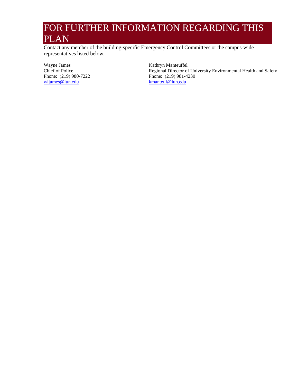### FOR FURTHER INFORMATION REGARDING THIS PLAN

Contact any member of the building-specific Emergency Control Committees or the campus-wide representatives listed below.

Wayne James Chief of Police Phone: (219) 980-7222 wljames@iun.edu

Kathryn Manteuffel Regional Director of University Environmental Health and Safety Phone: (219) 981-4230 kmanteuf@iun.edu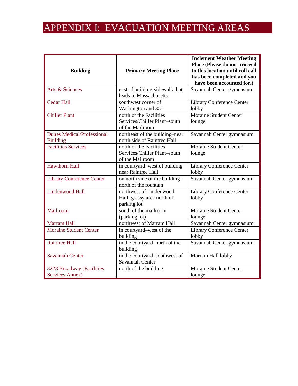### APPENDIX I: EVACUATION MEETING AREAS

| <b>Building</b>                                      | <b>Primary Meeting Place</b>                                               | <b>Inclement Weather Meeting</b><br>Place (Please do not proceed<br>to this location until roll call<br>has been completed and you<br>have been accounted for.) |  |
|------------------------------------------------------|----------------------------------------------------------------------------|-----------------------------------------------------------------------------------------------------------------------------------------------------------------|--|
| Arts & Sciences                                      | east of building-sidewalk that<br>leads to Massachusetts                   | Savannah Center gymnasium                                                                                                                                       |  |
| <b>Cedar Hall</b>                                    | southwest corner of<br>Washington and 35 <sup>th</sup>                     | Library Conference Center<br>lobby                                                                                                                              |  |
| <b>Chiller Plant</b>                                 | north of the Facilities<br>Services/Chiller Plant-south<br>of the Mailroom | <b>Moraine Student Center</b><br>lounge                                                                                                                         |  |
| <b>Dunes Medical/Professional</b><br><b>Building</b> | northeast of the building-near<br>north side of Raintree Hall              | Savannah Center gymnasium                                                                                                                                       |  |
| <b>Facilities Services</b>                           | north of the Facilities<br>Services/Chiller Plant-south<br>of the Mailroom | <b>Moraine Student Center</b><br>lounge                                                                                                                         |  |
| <b>Hawthorn Hall</b>                                 | in courtyard-west of building-<br>near Raintree Hall                       | Library Conference Center<br>lobby                                                                                                                              |  |
| <b>Library Conference Center</b>                     | on north side of the building-<br>north of the fountain                    | Savannah Center gymnasium                                                                                                                                       |  |
| Lindenwood Hall                                      | northwest of Lindenwood<br>Hall-grassy area north of<br>parking lot        | Library Conference Center<br>lobby                                                                                                                              |  |
| Mailroom                                             | south of the mailroom<br>(parking lot)                                     | <b>Moraine Student Center</b><br>lounge                                                                                                                         |  |
| Marram Hall                                          | northwest of Marram Hall                                                   | Savannah Center gymnasium                                                                                                                                       |  |
| <b>Moraine Student Center</b>                        | in courtyard-west of the<br>building                                       | Library Conference Center<br>lobby                                                                                                                              |  |
| <b>Raintree Hall</b>                                 | in the courtyard-north of the<br>building                                  | Savannah Center gymnasium                                                                                                                                       |  |
| <b>Savannah Center</b>                               | in the courtyard-southwest of<br>Savannah Center                           | Marram Hall lobby                                                                                                                                               |  |
| 3223 Broadway (Facilities<br>Services Annex)         | north of the building                                                      | <b>Moraine Student Center</b><br>lounge                                                                                                                         |  |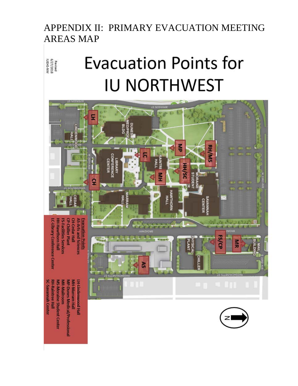### APPENDIX II: PRIMARY EVACUATION MEETING AREAS MAP

# **Evacuation Points for** IU **NORTHWEST**

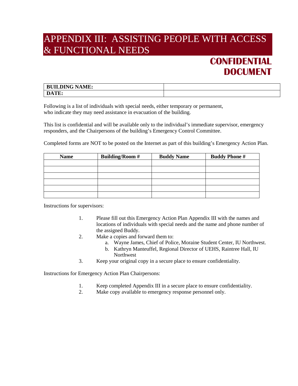### APPENDIX III: ASSISTING PEOPLE WITH ACCESS & FUNCTIONAL NEEDS

### **CONFIDENTIAL DOCUMENT**

| <b>LDING NAME:</b><br><b>BUII</b> |  |
|-----------------------------------|--|
| <b>TIME</b><br>i le               |  |

 Following is a list of individuals with special needs, either temporary or permanent, who indicate they may need assistance in evacuation of the building.

 This list is confidential and will be available only to the individual's immediate supervisor, emergency responders, and the Chairpersons of the building's Emergency Control Committee.

Completed forms are NOT to be posted on the Internet as part of this building's Emergency Action Plan.

| <b>Name</b> | <b>Building/Room #</b> | <b>Buddy Name</b> | <b>Buddy Phone #</b> |
|-------------|------------------------|-------------------|----------------------|
|             |                        |                   |                      |
|             |                        |                   |                      |
|             |                        |                   |                      |
|             |                        |                   |                      |
|             |                        |                   |                      |
|             |                        |                   |                      |
|             |                        |                   |                      |

Instructions for supervisors:

- 1. Please fill out this Emergency Action Plan Appendix III with the names and locations of individuals with special needs and the name and phone number of the assigned Buddy.
- 2. Make a copies and forward them to:
	- a. Wayne James, Chief of Police, Moraine Student Center, IU Northwest.
	- b. Kathryn Manteuffel, Regional Director of UEHS, Raintree Hall, IU Northwest
- 3. Keep your original copy in a secure place to ensure confidentiality.

Instructions for Emergency Action Plan Chairpersons:

- 1. Keep completed Appendix III in a secure place to ensure confidentiality.
- 2. Make copy available to emergency response personnel only.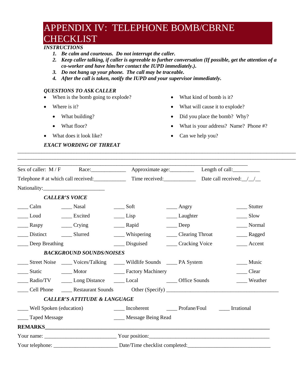### APPENDIX IV: TELEPHONE BOMB/CBRNE **CHECKLIST**

#### *INSTRUCTIONS*

- *1. Be calm and courteous. Do not interrupt the caller.*
- *2. Keep caller talking, if caller is agreeable to further conversation (If possible, get the attention of a co-worker and have him/her contact the IUPD immediately.).*

\_\_\_\_\_\_\_\_\_\_\_\_\_\_\_\_\_\_\_\_\_\_\_\_\_\_\_\_\_\_\_\_\_\_\_\_\_\_\_\_\_\_\_\_\_\_\_\_\_\_\_\_\_\_\_\_\_\_\_\_\_\_\_\_\_\_\_\_\_\_\_\_\_\_\_\_\_\_\_\_\_\_\_\_\_\_\_\_\_\_\_\_\_\_\_\_\_\_\_\_\_\_\_\_ \_\_\_\_\_\_\_\_\_\_\_\_\_\_\_\_\_\_\_\_\_\_\_\_\_\_\_\_\_\_\_\_\_\_\_\_\_\_\_\_\_\_\_\_\_\_\_\_\_\_\_\_\_\_\_\_\_\_\_\_\_\_\_\_\_\_\_\_\_\_\_\_\_\_\_\_\_\_\_\_\_\_\_\_\_\_\_\_\_\_\_\_\_\_\_\_\_\_\_\_\_\_\_\_

- *3. Do not hang up your phone. The call may be traceable.*
- *4. After the call is taken, notify the IUPD and your supervisor immediately.*

#### *QUESTIONS TO ASK CALLER*

- When is the bomb going to explode?
- Where is it?
	- What building?
	- What floor?
- What does it look like?
- What kind of bomb is it?
- What will cause it to explode?
- Did you place the bomb? Why?
- What is your address? Name? Phone #?
- Can we help you?

#### *EXACT WORDING OF THREAT*

| Sex of caller: M/F Race: Approximate age: Length of call: _______________________ |                                         |                                    |                                                                                                                                                                                                                                                                                                                                              |                              |
|-----------------------------------------------------------------------------------|-----------------------------------------|------------------------------------|----------------------------------------------------------------------------------------------------------------------------------------------------------------------------------------------------------------------------------------------------------------------------------------------------------------------------------------------|------------------------------|
|                                                                                   |                                         |                                    |                                                                                                                                                                                                                                                                                                                                              | Date call received: $\angle$ |
|                                                                                   |                                         |                                    |                                                                                                                                                                                                                                                                                                                                              |                              |
| <b>CALLER'S VOICE</b>                                                             |                                         |                                    |                                                                                                                                                                                                                                                                                                                                              |                              |
|                                                                                   |                                         | $\rule{1em}{0.15mm}$ Soft          | $\frac{1}{2}$ Angry                                                                                                                                                                                                                                                                                                                          | _____ Stutter                |
| Loud Excited                                                                      |                                         | $\rule{1em}{0.15mm}$ Lisp          | ____ Laughter                                                                                                                                                                                                                                                                                                                                | Slow                         |
|                                                                                   |                                         | _______ Rapid                      | $\rule{1em}{0.15mm} \n\rule{1em}{0.15mm} \n\rule{1em}{0.15mm} \n\rule{1em}{0.15mm} \n\rule{1em}{0.15mm} \n\rule{1em}{0.15mm} \n\rule{1em}{0.15mm} \n\rule{1em}{0.15mm} \n\rule{1em}{0.15mm} \n\rule{1em}{0.15mm} \n\rule{1em}{0.15mm} \n\rule{1em}{0.15mm} \n\rule{1em}{0.15mm} \n\rule{1em}{0.15mm} \n\rule{1em}{0.15mm} \n\rule{1em}{0.15$ | Normal                       |
| Distinct Slurred                                                                  |                                         | ____ Whispering                    | _____ Clearing Throat                                                                                                                                                                                                                                                                                                                        | ____ Ragged                  |
| Deep Breathing                                                                    |                                         | ____ Disguised                     | ____ Cracking Voice                                                                                                                                                                                                                                                                                                                          | ____ Accent                  |
|                                                                                   | <b>BACKGROUND SOUNDS/NOISES</b>         |                                    |                                                                                                                                                                                                                                                                                                                                              |                              |
| _____ Street Noise ______ Voices/Talking ______ Wildlife Sounds _____ PA System   |                                         |                                    |                                                                                                                                                                                                                                                                                                                                              | ____ Music                   |
| Static Motor Machinery                                                            |                                         |                                    |                                                                                                                                                                                                                                                                                                                                              | $\qquad$ Clear               |
|                                                                                   |                                         |                                    |                                                                                                                                                                                                                                                                                                                                              | Weather                      |
|                                                                                   |                                         |                                    |                                                                                                                                                                                                                                                                                                                                              |                              |
|                                                                                   | <b>CALLER'S ATTITUDE &amp; LANGUAGE</b> |                                    |                                                                                                                                                                                                                                                                                                                                              |                              |
| ____ Well Spoken (education)                                                      |                                         | Incoherent Profane/Foul Irrational |                                                                                                                                                                                                                                                                                                                                              |                              |
| ___ Taped Message                                                                 |                                         | ____ Message Being Read            |                                                                                                                                                                                                                                                                                                                                              |                              |
|                                                                                   |                                         |                                    |                                                                                                                                                                                                                                                                                                                                              |                              |
|                                                                                   |                                         |                                    |                                                                                                                                                                                                                                                                                                                                              |                              |
|                                                                                   |                                         |                                    |                                                                                                                                                                                                                                                                                                                                              |                              |